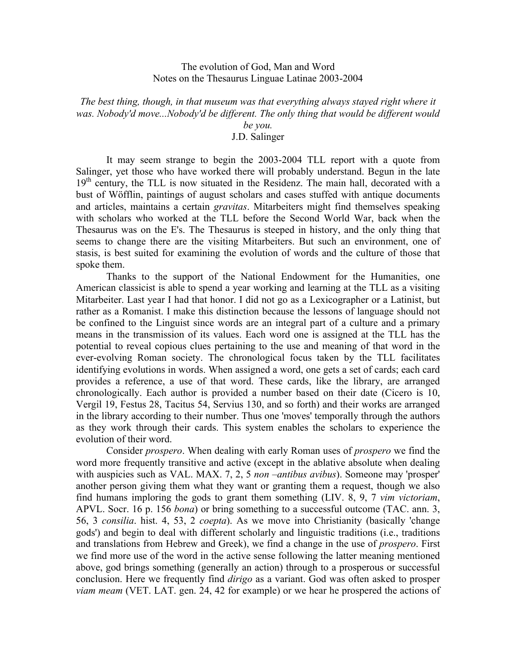## The evolution of God, Man and Word Notes on the Thesaurus Linguae Latinae 2003-2004

*The best thing, though, in that museum was that everything always stayed right where it was. Nobody'd move...Nobody'd be different. The only thing that would be different would* 

*be you.*

## J.D. Salinger

It may seem strange to begin the 2003-2004 TLL report with a quote from Salinger, yet those who have worked there will probably understand. Begun in the late  $19<sup>th</sup>$  century, the TLL is now situated in the Residenz. The main hall, decorated with a bust of Wöfflin, paintings of august scholars and cases stuffed with antique documents and articles, maintains a certain *gravitas*. Mitarbeiters might find themselves speaking with scholars who worked at the TLL before the Second World War, back when the Thesaurus was on the E's. The Thesaurus is steeped in history, and the only thing that seems to change there are the visiting Mitarbeiters. But such an environment, one of stasis, is best suited for examining the evolution of words and the culture of those that spoke them.

Thanks to the support of the National Endowment for the Humanities, one American classicist is able to spend a year working and learning at the TLL as a visiting Mitarbeiter. Last year I had that honor. I did not go as a Lexicographer or a Latinist, but rather as a Romanist. I make this distinction because the lessons of language should not be confined to the Linguist since words are an integral part of a culture and a primary means in the transmission of its values. Each word one is assigned at the TLL has the potential to reveal copious clues pertaining to the use and meaning of that word in the ever-evolving Roman society. The chronological focus taken by the TLL facilitates identifying evolutions in words. When assigned a word, one gets a set of cards; each card provides a reference, a use of that word. These cards, like the library, are arranged chronologically. Each author is provided a number based on their date (Cicero is 10, Vergil 19, Festus 28, Tacitus 54, Servius 130, and so forth) and their works are arranged in the library according to their number. Thus one 'moves' temporally through the authors as they work through their cards. This system enables the scholars to experience the evolution of their word.

Consider *prospero*. When dealing with early Roman uses of *prospero* we find the word more frequently transitive and active (except in the ablative absolute when dealing with auspicies such as VAL. MAX. 7, 2, 5 *non –antibus avibus*). Someone may 'prosper' another person giving them what they want or granting them a request, though we also find humans imploring the gods to grant them something (LIV. 8, 9, 7 *vim victoriam*, APVL. Socr. 16 p. 156 *bona*) or bring something to a successful outcome (TAC. ann. 3, 56, 3 *consilia*. hist. 4, 53, 2 *coepta*). As we move into Christianity (basically 'change gods') and begin to deal with different scholarly and linguistic traditions (i.e., traditions and translations from Hebrew and Greek), we find a change in the use of *prospero*. First we find more use of the word in the active sense following the latter meaning mentioned above, god brings something (generally an action) through to a prosperous or successful conclusion. Here we frequently find *dirigo* as a variant. God was often asked to prosper *viam meam* (VET. LAT. gen. 24, 42 for example) or we hear he prospered the actions of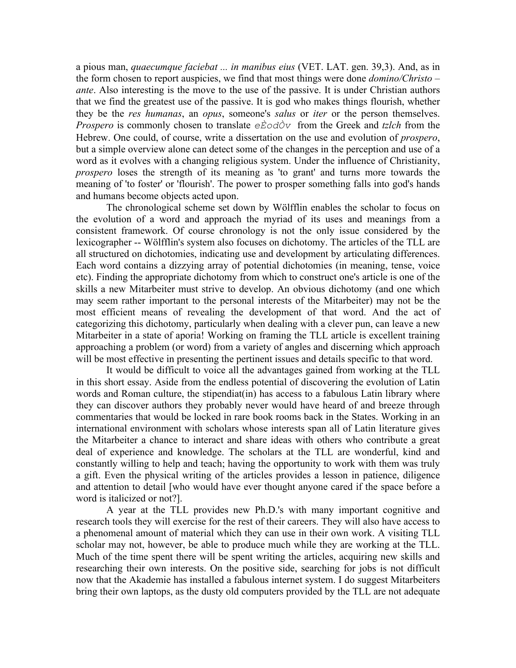a pious man, *quaecumque faciebat ... in manibus eius* (VET. LAT. gen. 39,3). And, as in the form chosen to report auspicies, we find that most things were done *domino/Christo – ante*. Also interesting is the move to the use of the passive. It is under Christian authors that we find the greatest use of the passive. It is god who makes things flourish, whether they be the *res humanas*, an *opus*, someone's *salus* or *iter* or the person themselves. *Prospero* is commonly chosen to translate *eÈodÒv* from the Greek and *tzlch* from the Hebrew. One could, of course, write a dissertation on the use and evolution of *prospero*, but a simple overview alone can detect some of the changes in the perception and use of a word as it evolves with a changing religious system. Under the influence of Christianity, *prospero* loses the strength of its meaning as 'to grant' and turns more towards the meaning of 'to foster' or 'flourish'. The power to prosper something falls into god's hands and humans become objects acted upon.

The chronological scheme set down by Wölfflin enables the scholar to focus on the evolution of a word and approach the myriad of its uses and meanings from a consistent framework. Of course chronology is not the only issue considered by the lexicographer -- Wölfflin's system also focuses on dichotomy. The articles of the TLL are all structured on dichotomies, indicating use and development by articulating differences. Each word contains a dizzying array of potential dichotomies (in meaning, tense, voice etc). Finding the appropriate dichotomy from which to construct one's article is one of the skills a new Mitarbeiter must strive to develop. An obvious dichotomy (and one which may seem rather important to the personal interests of the Mitarbeiter) may not be the most efficient means of revealing the development of that word. And the act of categorizing this dichotomy, particularly when dealing with a clever pun, can leave a new Mitarbeiter in a state of aporia! Working on framing the TLL article is excellent training approaching a problem (or word) from a variety of angles and discerning which approach will be most effective in presenting the pertinent issues and details specific to that word.

It would be difficult to voice all the advantages gained from working at the TLL in this short essay. Aside from the endless potential of discovering the evolution of Latin words and Roman culture, the stipendiat(in) has access to a fabulous Latin library where they can discover authors they probably never would have heard of and breeze through commentaries that would be locked in rare book rooms back in the States. Working in an international environment with scholars whose interests span all of Latin literature gives the Mitarbeiter a chance to interact and share ideas with others who contribute a great deal of experience and knowledge. The scholars at the TLL are wonderful, kind and constantly willing to help and teach; having the opportunity to work with them was truly a gift. Even the physical writing of the articles provides a lesson in patience, diligence and attention to detail [who would have ever thought anyone cared if the space before a word is italicized or not?].

A year at the TLL provides new Ph.D.'s with many important cognitive and research tools they will exercise for the rest of their careers. They will also have access to a phenomenal amount of material which they can use in their own work. A visiting TLL scholar may not, however, be able to produce much while they are working at the TLL. Much of the time spent there will be spent writing the articles, acquiring new skills and researching their own interests. On the positive side, searching for jobs is not difficult now that the Akademie has installed a fabulous internet system. I do suggest Mitarbeiters bring their own laptops, as the dusty old computers provided by the TLL are not adequate